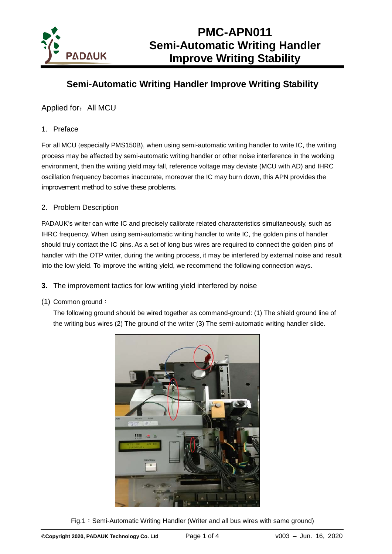

### **Semi-Automatic Writing Handler Improve Writing Stability**

Applied for: All MCU

#### 1. Preface

For all MCU (especially PMS150B), when using semi-automatic writing handler to write IC, the writing process may be affected by semi-automatic writing handler or other noise interference in the working environment, then the writing yield may fall, reference voltage may deviate (MCU with AD) and IHRC oscillation frequency becomes inaccurate, moreover the IC may burn down, this APN provides the improvement method to solve these problems.

#### 2. Problem Description

PADAUK's writer can write IC and precisely calibrate related characteristics simultaneously, such as IHRC frequency. When using semi-automatic writing handler to write IC, the golden pins of handler should truly contact the IC pins. As a set of long bus wires are required to connect the golden pins of handler with the OTP writer, during the writing process, it may be interfered by external noise and result into the low yield. To improve the writing yield, we recommend the following connection ways.

- **3.** The improvement tactics for low writing yield interfered by noise
- (1) Common ground:

The following ground should be wired together as command-ground: (1) The shield ground line of the writing bus wires (2) The ground of the writer (3) The semi-automatic writing handler slide.



Fig.1:Semi-Automatic Writing Handler (Writer and all bus wires with same ground)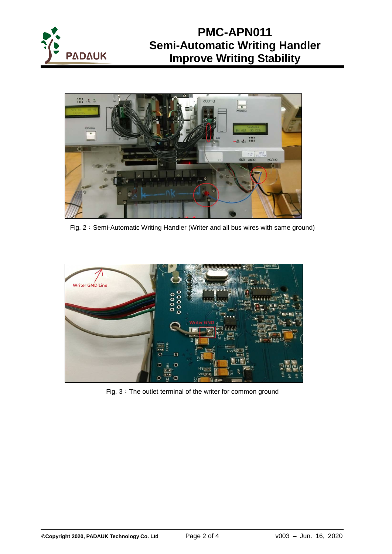



Fig. 2: Semi-Automatic Writing Handler (Writer and all bus wires with same ground)



Fig. 3: The outlet terminal of the writer for common ground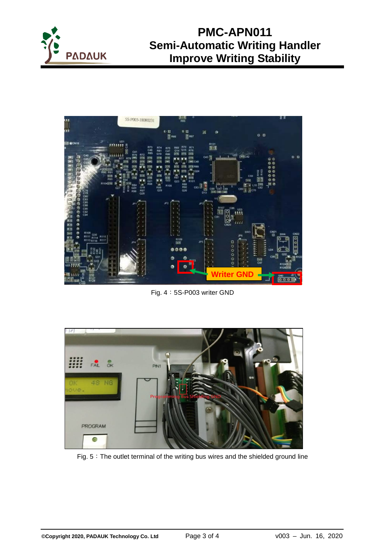



Fig. 4:5S-P003 writer GND



Fig. 5: The outlet terminal of the writing bus wires and the shielded ground line